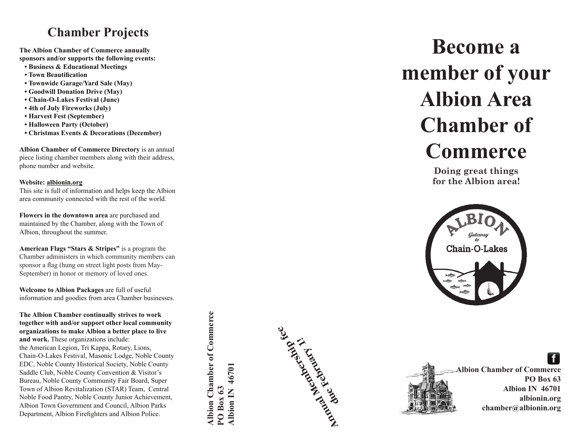### **Chamber Projects**

**The Albion Chamber of Commerce annually sponsors and/or supports the following events:**

- **Business & Educational Meetings**
- **Town Beautification**
- **Townwide Garage/Yard Sale (May)**
- **Goodwill Donation Drive (May)**
- **Chain-O-Lakes Festival (June)**
- **4th of July Fireworks (July)**
- **Harvest Fest (September)**
- **Halloween Party (October)**
- **Christmas Events & Decorations (December)**

**Albion Chamber of Commerce Directory** is an annual piece listing chamber members along with their address, phone number and website.

#### **Website: albionin.org**

This site is full of information and helps keep the Albion area community connected with the rest of the world.

**Flowers in the downtown area** are purchased and maintained by the Chamber, along with the Town of Albion, throughout the summer.

**American Flags "Stars & Stripes"** is a program the Chamber administers in which community members can sponsor a flag (hung on street light posts from May-September) in honor or memory of loved ones.

**Welcome to Albion Packages** are full of useful information and goodies from area Chamber businesses.

**The Albion Chamber continually strives to work together with and/or support other local community organizations to make Albion a better place to live and work.** These organizations include: the American Legion, Tri Kappa, Rotary, Lions, Chain-O-Lakes Festival, Masonic Lodge, Noble County EDC, Noble County Historical Society, Noble County Saddle Club, Noble County Convention & Visitor's Bureau, Noble County Community Fair Board, Super Town of Albion Revitalization (STAR) Team, Central Noble Food Pantry, Noble County Junior Achievement, Albion Town Government and Council, Albion Parks Department, Albion Firefighters and Albion Police.

Albion Chamber of Commerce **Albion Chamber of Commerce** Albion IN 46701 **Albion IN 46701**  $PO$  Box 63 **PO Box 63**



## **Become a member of your Albion Area Chamber of Commerce**

**Doing great things for the Albion area!**